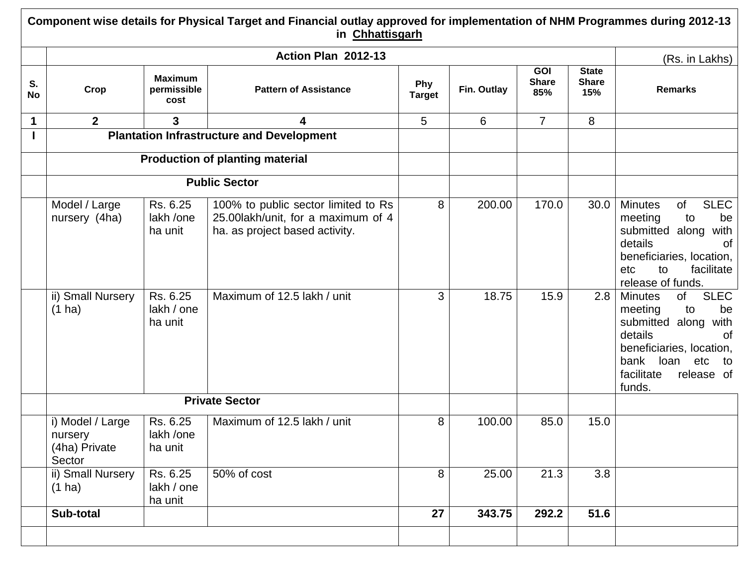|             |                                                        |                                       | Component wise details for Physical Target and Financial outlay approved for implementation of NHM Programmes during 2012-13<br>in Chhattisgarh |                      |             |                                   |                                     |                                                                                                                                                                                                           |
|-------------|--------------------------------------------------------|---------------------------------------|-------------------------------------------------------------------------------------------------------------------------------------------------|----------------------|-------------|-----------------------------------|-------------------------------------|-----------------------------------------------------------------------------------------------------------------------------------------------------------------------------------------------------------|
|             |                                                        |                                       | Action Plan 2012-13                                                                                                                             |                      |             |                                   |                                     | (Rs. in Lakhs)                                                                                                                                                                                            |
| S.<br>No    | Crop                                                   | <b>Maximum</b><br>permissible<br>cost | <b>Pattern of Assistance</b>                                                                                                                    | Phy<br><b>Target</b> | Fin. Outlay | <b>GOI</b><br><b>Share</b><br>85% | <b>State</b><br><b>Share</b><br>15% | <b>Remarks</b>                                                                                                                                                                                            |
| $\mathbf 1$ | $\mathbf{2}$                                           | 3                                     | 4                                                                                                                                               | 5                    | 6           | $\overline{7}$                    | 8                                   |                                                                                                                                                                                                           |
|             |                                                        |                                       | <b>Plantation Infrastructure and Development</b>                                                                                                |                      |             |                                   |                                     |                                                                                                                                                                                                           |
|             | <b>Production of planting material</b>                 |                                       |                                                                                                                                                 |                      |             |                                   |                                     |                                                                                                                                                                                                           |
|             |                                                        |                                       | <b>Public Sector</b>                                                                                                                            |                      |             |                                   |                                     |                                                                                                                                                                                                           |
|             | Model / Large<br>nursery (4ha)                         | Rs. 6.25<br>lakh /one<br>ha unit      | 100% to public sector limited to Rs<br>25.00lakh/unit, for a maximum of 4<br>ha. as project based activity.                                     | 8                    | 200.00      | 170.0                             | 30.0                                | <b>SLEC</b><br><b>Minutes</b><br>of<br>meeting<br>to<br>be<br>with<br>submitted along<br>details<br><b>of</b><br>beneficiaries, location,<br>etc<br>to<br>facilitate<br>release of funds.                 |
|             | ii) Small Nursery<br>$(1)$ ha)                         | Rs. 6.25<br>lakh / one<br>ha unit     | Maximum of 12.5 lakh / unit                                                                                                                     | 3                    | 18.75       | 15.9                              | 2.8                                 | <b>SLEC</b><br>of<br><b>Minutes</b><br>meeting<br>to<br>be<br>submitted along with<br>details<br><b>of</b><br>beneficiaries, location,<br>bank<br>loan<br>etc<br>to<br>facilitate<br>release of<br>funds. |
|             |                                                        |                                       | <b>Private Sector</b>                                                                                                                           |                      |             |                                   |                                     |                                                                                                                                                                                                           |
|             | i) Model / Large<br>nursery<br>(4ha) Private<br>Sector | Rs. 6.25<br>lakh /one<br>ha unit      | Maximum of 12.5 lakh / unit                                                                                                                     | 8                    | 100.00      | 85.0                              | 15.0                                |                                                                                                                                                                                                           |
|             | ii) Small Nursery<br>$(1)$ ha)                         | Rs. 6.25<br>lakh / one<br>ha unit     | 50% of cost                                                                                                                                     | 8                    | 25.00       | 21.3                              | 3.8                                 |                                                                                                                                                                                                           |
|             | Sub-total                                              |                                       |                                                                                                                                                 | 27                   | 343.75      | 292.2                             | 51.6                                |                                                                                                                                                                                                           |
|             |                                                        |                                       |                                                                                                                                                 |                      |             |                                   |                                     |                                                                                                                                                                                                           |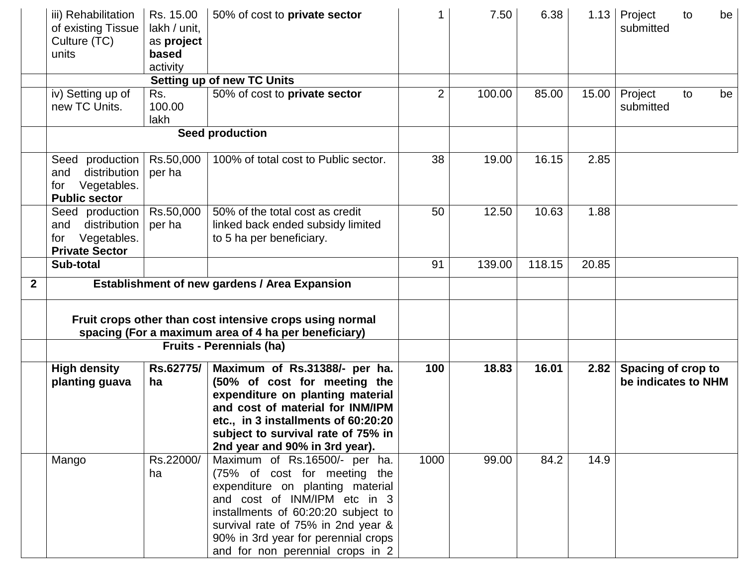|              | iii) Rehabilitation<br>of existing Tissue<br>Culture (TC)<br>units                      | Rs. 15.00<br>lakh / unit,<br>as project<br>based<br>activity | 50% of cost to private sector                                                                                                                                                                                                                                                             |                | 7.50   | 6.38   |       | 1.13 Project<br>submitted                 | to | be |
|--------------|-----------------------------------------------------------------------------------------|--------------------------------------------------------------|-------------------------------------------------------------------------------------------------------------------------------------------------------------------------------------------------------------------------------------------------------------------------------------------|----------------|--------|--------|-------|-------------------------------------------|----|----|
|              |                                                                                         |                                                              | <b>Setting up of new TC Units</b>                                                                                                                                                                                                                                                         |                |        |        |       |                                           |    |    |
|              | iv) Setting up of<br>new TC Units.                                                      | Rs.<br>100.00<br>lakh                                        | 50% of cost to private sector                                                                                                                                                                                                                                                             | $\overline{2}$ | 100.00 | 85.00  | 15.00 | Project<br>submitted                      | to | be |
|              |                                                                                         |                                                              | Seed production                                                                                                                                                                                                                                                                           |                |        |        |       |                                           |    |    |
|              | production<br>Seed<br>distribution<br>and<br>Vegetables.<br>for<br><b>Public sector</b> | Rs.50,000<br>per ha                                          | 100% of total cost to Public sector.                                                                                                                                                                                                                                                      | 38             | 19.00  | 16.15  | 2.85  |                                           |    |    |
|              | Seed production<br>distribution<br>and<br>Vegetables.<br>for<br><b>Private Sector</b>   | Rs.50,000<br>per ha                                          | 50% of the total cost as credit<br>linked back ended subsidy limited<br>to 5 ha per beneficiary.                                                                                                                                                                                          | 50             | 12.50  | 10.63  | 1.88  |                                           |    |    |
|              | Sub-total                                                                               |                                                              |                                                                                                                                                                                                                                                                                           | 91             | 139.00 | 118.15 | 20.85 |                                           |    |    |
| $\mathbf{2}$ |                                                                                         |                                                              | <b>Establishment of new gardens / Area Expansion</b>                                                                                                                                                                                                                                      |                |        |        |       |                                           |    |    |
|              |                                                                                         |                                                              | Fruit crops other than cost intensive crops using normal<br>spacing (For a maximum area of 4 ha per beneficiary)<br><b>Fruits - Perennials (ha)</b>                                                                                                                                       |                |        |        |       |                                           |    |    |
|              |                                                                                         |                                                              |                                                                                                                                                                                                                                                                                           |                |        |        |       |                                           |    |    |
|              | <b>High density</b><br>planting guava                                                   | Rs.62775/<br>ha                                              | Maximum of Rs.31388/- per ha.<br>(50% of cost for meeting the<br>expenditure on planting material<br>and cost of material for INM/IPM<br>etc., in 3 installments of 60:20:20<br>subject to survival rate of 75% in<br>2nd year and 90% in 3rd year).                                      | 100            | 18.83  | 16.01  | 2.82  | Spacing of crop to<br>be indicates to NHM |    |    |
|              | Mango                                                                                   | Rs.22000/<br>ha                                              | Maximum of Rs.16500/- per ha.<br>(75% of cost for meeting the<br>expenditure on planting material<br>and cost of INM/IPM etc in 3<br>installments of 60:20:20 subject to<br>survival rate of 75% in 2nd year &<br>90% in 3rd year for perennial crops<br>and for non perennial crops in 2 | 1000           | 99.00  | 84.2   | 14.9  |                                           |    |    |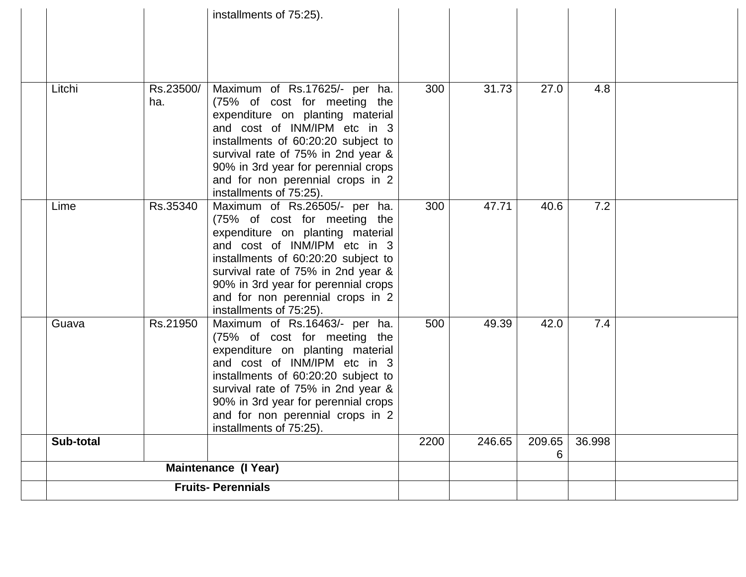|           |                  | installments of 75:25).                                                                                                                                                                                                                                                                                              |      |        |             |        |  |
|-----------|------------------|----------------------------------------------------------------------------------------------------------------------------------------------------------------------------------------------------------------------------------------------------------------------------------------------------------------------|------|--------|-------------|--------|--|
|           |                  |                                                                                                                                                                                                                                                                                                                      |      |        |             |        |  |
| Litchi    | Rs.23500/<br>ha. | Maximum of Rs.17625/- per ha.<br>(75% of cost for meeting the<br>expenditure on planting material<br>and cost of INM/IPM etc in 3<br>installments of 60:20:20 subject to<br>survival rate of 75% in 2nd year &<br>90% in 3rd year for perennial crops<br>and for non perennial crops in 2<br>installments of 75:25). | 300  | 31.73  | 27.0        | 4.8    |  |
| Lime      | Rs.35340         | Maximum of Rs.26505/- per ha.<br>(75% of cost for meeting the<br>expenditure on planting material<br>and cost of INM/IPM etc in 3<br>installments of 60:20:20 subject to<br>survival rate of 75% in 2nd year &<br>90% in 3rd year for perennial crops<br>and for non perennial crops in 2<br>installments of 75:25). | 300  | 47.71  | 40.6        | 7.2    |  |
| Guava     | Rs.21950         | Maximum of Rs.16463/- per ha.<br>(75% of cost for meeting the<br>expenditure on planting material<br>and cost of INM/IPM etc in 3<br>installments of 60:20:20 subject to<br>survival rate of 75% in 2nd year &<br>90% in 3rd year for perennial crops<br>and for non perennial crops in 2<br>installments of 75:25). | 500  | 49.39  | 42.0        | 7.4    |  |
| Sub-total |                  |                                                                                                                                                                                                                                                                                                                      | 2200 | 246.65 | 209.65<br>6 | 36.998 |  |
|           |                  | <b>Maintenance (I Year)</b>                                                                                                                                                                                                                                                                                          |      |        |             |        |  |
|           |                  | <b>Fruits-Perennials</b>                                                                                                                                                                                                                                                                                             |      |        |             |        |  |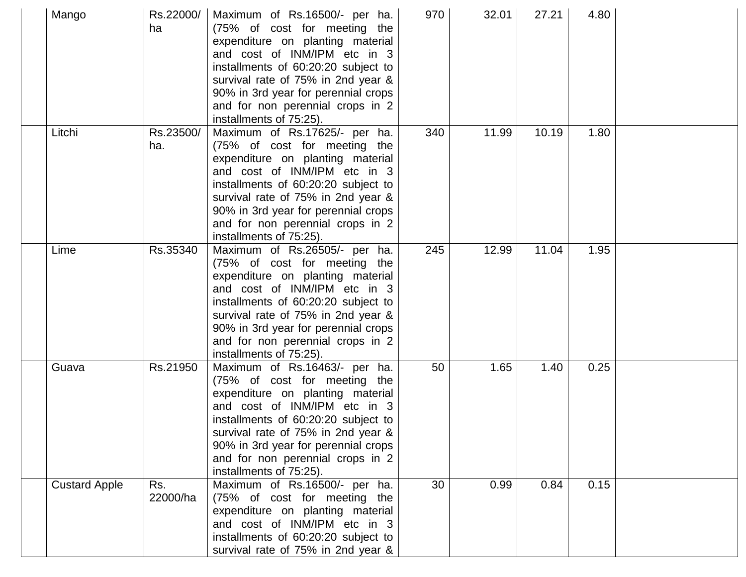| Mango                | Rs.22000/<br>ha  | Maximum of Rs.16500/- per ha.<br>(75% of cost for meeting the<br>expenditure on planting material<br>and cost of INM/IPM etc in 3<br>installments of 60:20:20 subject to<br>survival rate of 75% in 2nd year &<br>90% in 3rd year for perennial crops<br>and for non perennial crops in 2<br>installments of 75:25). | 970 | 32.01 | 27.21 | 4.80 |  |
|----------------------|------------------|----------------------------------------------------------------------------------------------------------------------------------------------------------------------------------------------------------------------------------------------------------------------------------------------------------------------|-----|-------|-------|------|--|
| Litchi               | Rs.23500/<br>ha. | Maximum of Rs.17625/- per ha.<br>(75% of cost for meeting the<br>expenditure on planting material<br>and cost of INM/IPM etc in 3<br>installments of 60:20:20 subject to<br>survival rate of 75% in 2nd year &<br>90% in 3rd year for perennial crops<br>and for non perennial crops in 2<br>installments of 75:25). | 340 | 11.99 | 10.19 | 1.80 |  |
| Lime                 | Rs.35340         | Maximum of Rs.26505/- per ha.<br>(75% of cost for meeting the<br>expenditure on planting material<br>and cost of INM/IPM etc in 3<br>installments of 60:20:20 subject to<br>survival rate of 75% in 2nd year &<br>90% in 3rd year for perennial crops<br>and for non perennial crops in 2<br>installments of 75:25). | 245 | 12.99 | 11.04 | 1.95 |  |
| Guava                | Rs.21950         | Maximum of Rs.16463/- per ha.<br>(75% of cost for meeting the<br>expenditure on planting material<br>and cost of INM/IPM etc in 3<br>installments of 60:20:20 subject to<br>survival rate of 75% in 2nd year &<br>90% in 3rd year for perennial crops<br>and for non perennial crops in 2<br>installments of 75:25). | 50  | 1.65  | 1.40  | 0.25 |  |
| <b>Custard Apple</b> | Rs.<br>22000/ha  | Maximum of Rs.16500/- per ha.<br>(75% of cost for meeting the<br>expenditure on planting material<br>and cost of INM/IPM etc in 3<br>installments of 60:20:20 subject to<br>survival rate of 75% in 2nd year &                                                                                                       | 30  | 0.99  | 0.84  | 0.15 |  |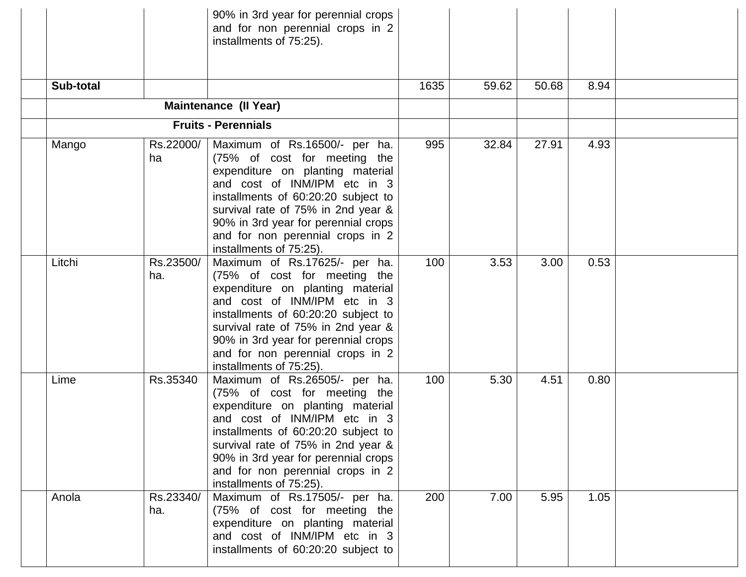|           |                  | 90% in 3rd year for perennial crops<br>and for non perennial crops in 2<br>installments of 75:25).                                                                                                                                                                                                                   |      |       |       |      |  |
|-----------|------------------|----------------------------------------------------------------------------------------------------------------------------------------------------------------------------------------------------------------------------------------------------------------------------------------------------------------------|------|-------|-------|------|--|
| Sub-total |                  |                                                                                                                                                                                                                                                                                                                      | 1635 | 59.62 | 50.68 | 8.94 |  |
|           |                  | <b>Maintenance (Il Year)</b>                                                                                                                                                                                                                                                                                         |      |       |       |      |  |
|           |                  | <b>Fruits - Perennials</b>                                                                                                                                                                                                                                                                                           |      |       |       |      |  |
| Mango     | Rs.22000/<br>ha  | Maximum of Rs.16500/- per ha.<br>(75% of cost for meeting the<br>expenditure on planting material<br>and cost of INM/IPM etc in 3<br>installments of 60:20:20 subject to<br>survival rate of 75% in 2nd year &<br>90% in 3rd year for perennial crops<br>and for non perennial crops in 2<br>installments of 75:25). | 995  | 32.84 | 27.91 | 4.93 |  |
| Litchi    | Rs.23500/<br>ha. | Maximum of Rs.17625/- per ha.<br>(75% of cost for meeting the<br>expenditure on planting material<br>and cost of INM/IPM etc in 3<br>installments of 60:20:20 subject to<br>survival rate of 75% in 2nd year &<br>90% in 3rd year for perennial crops<br>and for non perennial crops in 2<br>installments of 75:25). | 100  | 3.53  | 3.00  | 0.53 |  |
| Lime      | Rs.35340         | Maximum of Rs.26505/- per ha.<br>(75% of cost for meeting the<br>expenditure on planting material<br>and cost of INM/IPM etc in 3<br>installments of 60:20:20 subject to<br>survival rate of 75% in 2nd year &<br>90% in 3rd year for perennial crops<br>and for non perennial crops in 2<br>installments of 75:25). | 100  | 5.30  | 4.51  | 0.80 |  |
| Anola     | Rs.23340/<br>ha. | Maximum of Rs.17505/- per ha.<br>(75% of cost for meeting the<br>expenditure on planting material<br>and cost of INM/IPM etc in 3<br>installments of 60:20:20 subject to                                                                                                                                             | 200  | 7.00  | 5.95  | 1.05 |  |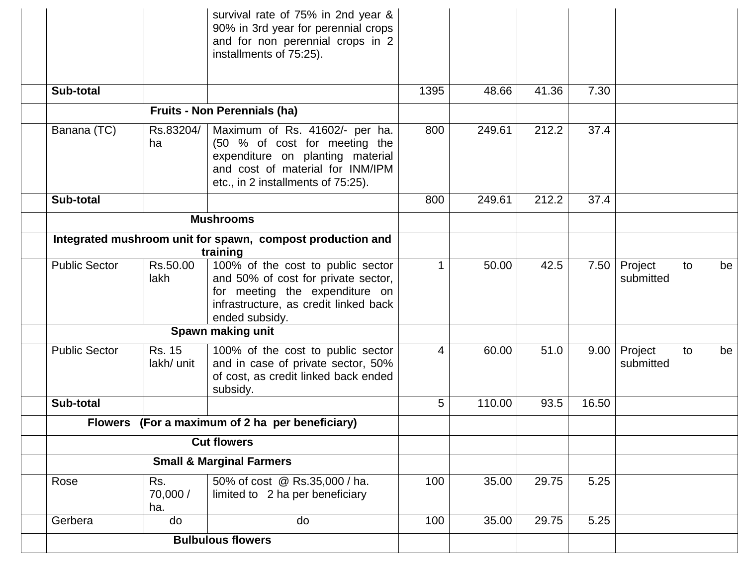|                      |                                     | survival rate of 75% in 2nd year &<br>90% in 3rd year for perennial crops<br>and for non perennial crops in 2<br>installments of 75:25).                                      |      |        |       |       |                      |    |      |
|----------------------|-------------------------------------|-------------------------------------------------------------------------------------------------------------------------------------------------------------------------------|------|--------|-------|-------|----------------------|----|------|
| Sub-total            |                                     |                                                                                                                                                                               | 1395 | 48.66  | 41.36 | 7.30  |                      |    |      |
|                      |                                     | <b>Fruits - Non Perennials (ha)</b>                                                                                                                                           |      |        |       |       |                      |    |      |
| Banana (TC)          | Rs.83204/<br>ha                     | Maximum of Rs. 41602/- per ha.<br>(50 % of cost for meeting the<br>expenditure on planting material<br>and cost of material for INM/IPM<br>etc., in 2 installments of 75:25). | 800  | 249.61 | 212.2 | 37.4  |                      |    |      |
| Sub-total            |                                     |                                                                                                                                                                               | 800  | 249.61 | 212.2 | 37.4  |                      |    |      |
|                      |                                     | <b>Mushrooms</b>                                                                                                                                                              |      |        |       |       |                      |    |      |
|                      |                                     | Integrated mushroom unit for spawn, compost production and<br>training                                                                                                        |      |        |       |       |                      |    |      |
| <b>Public Sector</b> | Rs.50.00<br>lakh                    | 100% of the cost to public sector<br>and 50% of cost for private sector,<br>for meeting the expenditure on<br>infrastructure, as credit linked back<br>ended subsidy.         |      | 50.00  | 42.5  | 7.50  | Project<br>submitted | to | be   |
|                      |                                     | Spawn making unit                                                                                                                                                             |      |        |       |       |                      |    |      |
| <b>Public Sector</b> | Rs. 15<br>lakh/ unit                | 100% of the cost to public sector<br>and in case of private sector, 50%<br>of cost, as credit linked back ended<br>subsidy.                                                   | 4    | 60.00  | 51.0  | 9.00  | Project<br>submitted | to | be l |
| Sub-total            |                                     |                                                                                                                                                                               | 5    | 110.00 | 93.5  | 16.50 |                      |    |      |
|                      |                                     | Flowers (For a maximum of 2 ha per beneficiary)                                                                                                                               |      |        |       |       |                      |    |      |
|                      |                                     | <b>Cut flowers</b>                                                                                                                                                            |      |        |       |       |                      |    |      |
|                      | <b>Small &amp; Marginal Farmers</b> |                                                                                                                                                                               |      |        |       |       |                      |    |      |
| Rose                 | Rs.<br>70,000 /<br>ha.              | 50% of cost @ Rs.35,000 / ha.<br>limited to 2 ha per beneficiary                                                                                                              | 100  | 35.00  | 29.75 | 5.25  |                      |    |      |
| Gerbera              | do                                  | do                                                                                                                                                                            | 100  | 35.00  | 29.75 | 5.25  |                      |    |      |
|                      |                                     | <b>Bulbulous flowers</b>                                                                                                                                                      |      |        |       |       |                      |    |      |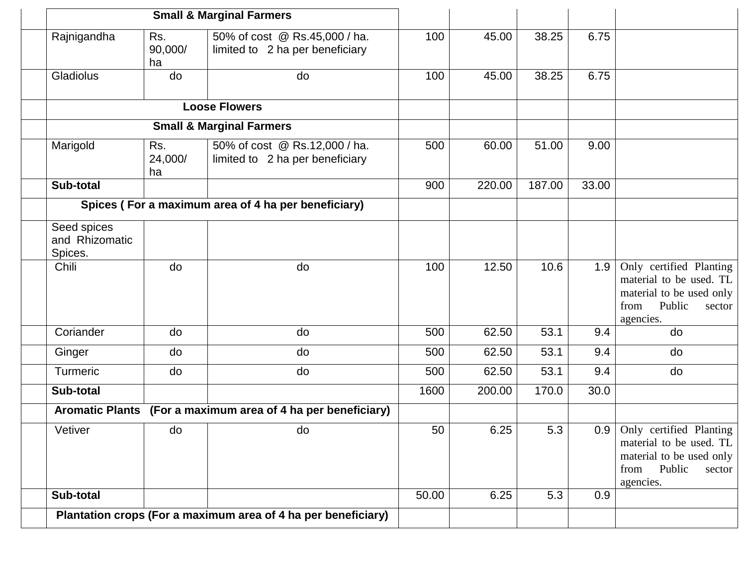|                                          |                      | <b>Small &amp; Marginal Farmers</b>                              |       |        |        |       |                                                                                                                             |
|------------------------------------------|----------------------|------------------------------------------------------------------|-------|--------|--------|-------|-----------------------------------------------------------------------------------------------------------------------------|
| Rajnigandha                              | Rs.<br>90,000/<br>ha | 50% of cost @ Rs.45,000 / ha.<br>limited to 2 ha per beneficiary | 100   | 45.00  | 38.25  | 6.75  |                                                                                                                             |
| Gladiolus                                | do                   | do                                                               | 100   | 45.00  | 38.25  | 6.75  |                                                                                                                             |
|                                          |                      | <b>Loose Flowers</b>                                             |       |        |        |       |                                                                                                                             |
|                                          |                      | <b>Small &amp; Marginal Farmers</b>                              |       |        |        |       |                                                                                                                             |
| Marigold                                 | Rs.<br>24,000/<br>ha | 50% of cost @ Rs.12,000 / ha.<br>limited to 2 ha per beneficiary | 500   | 60.00  | 51.00  | 9.00  |                                                                                                                             |
| Sub-total                                |                      |                                                                  | 900   | 220.00 | 187.00 | 33.00 |                                                                                                                             |
|                                          |                      | Spices (For a maximum area of 4 ha per beneficiary)              |       |        |        |       |                                                                                                                             |
| Seed spices<br>and Rhizomatic<br>Spices. |                      |                                                                  |       |        |        |       |                                                                                                                             |
| Chili                                    | do                   | do                                                               | 100   | 12.50  | 10.6   | 1.9   | Only certified Planting<br>material to be used. TL<br>material to be used only<br>from<br>Public<br>sector<br>agencies.     |
| Coriander                                | do                   | do                                                               | 500   | 62.50  | 53.1   | 9.4   | do                                                                                                                          |
| Ginger                                   | do                   | do                                                               | 500   | 62.50  | 53.1   | 9.4   | do                                                                                                                          |
| <b>Turmeric</b>                          | do                   | do                                                               | 500   | 62.50  | 53.1   | 9.4   | do                                                                                                                          |
| Sub-total                                |                      |                                                                  | 1600  | 200.00 | 170.0  | 30.0  |                                                                                                                             |
|                                          |                      | Aromatic Plants (For a maximum area of 4 ha per beneficiary)     |       |        |        |       |                                                                                                                             |
| Vetiver                                  | do                   | do                                                               | 50    | 6.25   | 5.3    |       | 0.9 Only certified Planting<br>material to be used. TL<br>material to be used only<br>Public<br>from<br>sector<br>agencies. |
| Sub-total                                |                      |                                                                  | 50.00 | 6.25   | 5.3    | 0.9   |                                                                                                                             |
|                                          |                      | Plantation crops (For a maximum area of 4 ha per beneficiary)    |       |        |        |       |                                                                                                                             |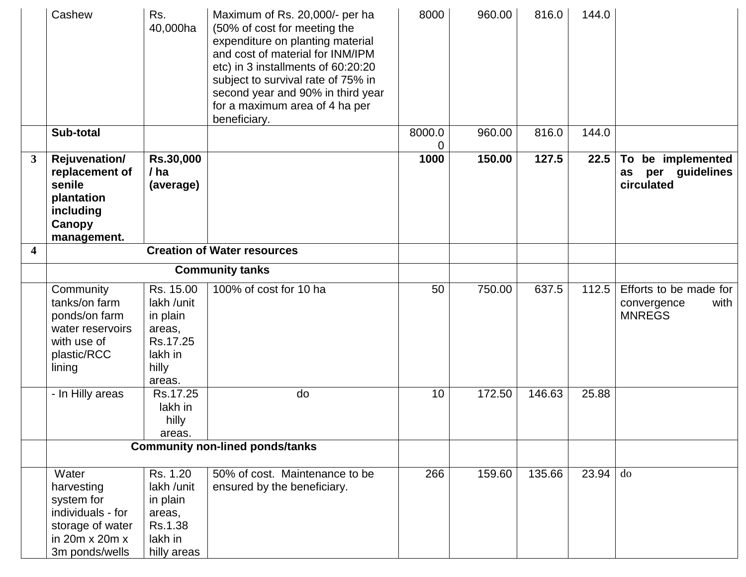|                         | Cashew                                                                                                                     | Rs.<br>40,000ha                                                                         | Maximum of Rs. 20,000/- per ha<br>(50% of cost for meeting the<br>expenditure on planting material<br>and cost of material for INM/IPM<br>etc) in 3 installments of 60:20:20<br>subject to survival rate of 75% in<br>second year and 90% in third year<br>for a maximum area of 4 ha per<br>beneficiary. | 8000   | 960.00 | 816.0  | 144.0 |                                                                |
|-------------------------|----------------------------------------------------------------------------------------------------------------------------|-----------------------------------------------------------------------------------------|-----------------------------------------------------------------------------------------------------------------------------------------------------------------------------------------------------------------------------------------------------------------------------------------------------------|--------|--------|--------|-------|----------------------------------------------------------------|
|                         | Sub-total                                                                                                                  |                                                                                         |                                                                                                                                                                                                                                                                                                           | 8000.0 | 960.00 | 816.0  | 144.0 |                                                                |
| $\mathbf{3}$            | <b>Rejuvenation/</b><br>replacement of<br>senile<br>plantation<br>including<br>Canopy<br>management.                       | <b>Rs.30,000</b><br>/ ha<br>(average)                                                   |                                                                                                                                                                                                                                                                                                           | 1000   | 150.00 | 127.5  | 22.5  | To<br>be implemented<br>per guidelines<br>as<br>circulated     |
| $\overline{\mathbf{4}}$ |                                                                                                                            |                                                                                         | <b>Creation of Water resources</b>                                                                                                                                                                                                                                                                        |        |        |        |       |                                                                |
|                         |                                                                                                                            |                                                                                         | <b>Community tanks</b>                                                                                                                                                                                                                                                                                    |        |        |        |       |                                                                |
|                         | Community<br>tanks/on farm<br>ponds/on farm<br>water reservoirs<br>with use of<br>plastic/RCC<br>lining                    | Rs. 15.00<br>lakh /unit<br>in plain<br>areas,<br>Rs.17.25<br>lakh in<br>hilly<br>areas. | 100% of cost for 10 ha                                                                                                                                                                                                                                                                                    | 50     | 750.00 | 637.5  | 112.5 | Efforts to be made for<br>with<br>convergence<br><b>MNREGS</b> |
|                         | - In Hilly areas                                                                                                           | Rs.17.25<br>lakh in<br>hilly<br>areas.                                                  | do                                                                                                                                                                                                                                                                                                        | 10     | 172.50 | 146.63 | 25.88 |                                                                |
|                         | <b>Community non-lined ponds/tanks</b>                                                                                     |                                                                                         |                                                                                                                                                                                                                                                                                                           |        |        |        |       |                                                                |
|                         | Water<br>harvesting<br>system for<br>individuals - for<br>storage of water<br>in $20m \times 20m \times$<br>3m ponds/wells | Rs. 1.20<br>lakh /unit<br>in plain<br>areas,<br>Rs.1.38<br>lakh in<br>hilly areas       | 50% of cost. Maintenance to be<br>ensured by the beneficiary.                                                                                                                                                                                                                                             | 266    | 159.60 | 135.66 | 23.94 | do                                                             |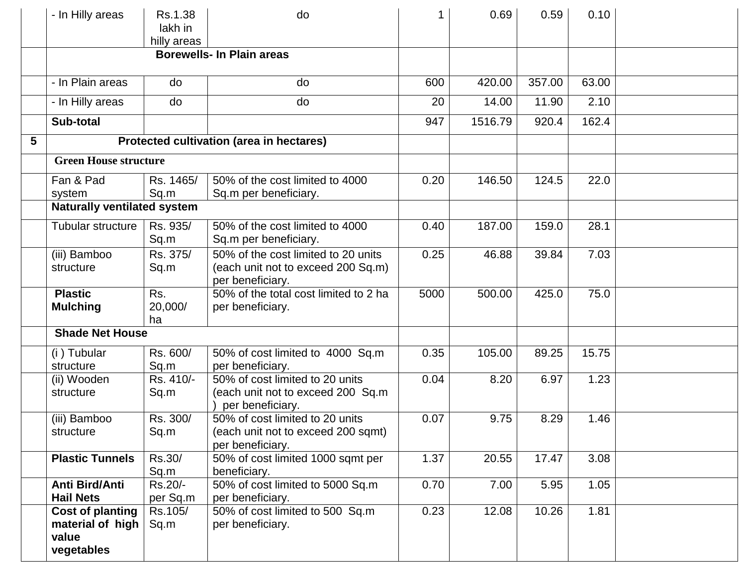|   | - In Hilly areas                                                   | Rs.1.38<br>lakh in<br>hilly areas | do                                                                                            |      | 0.69    | 0.59   | 0.10  |  |
|---|--------------------------------------------------------------------|-----------------------------------|-----------------------------------------------------------------------------------------------|------|---------|--------|-------|--|
|   |                                                                    |                                   | <b>Borewells- In Plain areas</b>                                                              |      |         |        |       |  |
|   | - In Plain areas                                                   | do                                | do                                                                                            | 600  | 420.00  | 357.00 | 63.00 |  |
|   | - In Hilly areas                                                   | do                                | do                                                                                            | 20   | 14.00   | 11.90  | 2.10  |  |
|   | Sub-total                                                          |                                   |                                                                                               | 947  | 1516.79 | 920.4  | 162.4 |  |
| 5 |                                                                    |                                   | Protected cultivation (area in hectares)                                                      |      |         |        |       |  |
|   | <b>Green House structure</b>                                       |                                   |                                                                                               |      |         |        |       |  |
|   | Fan & Pad<br>system                                                | Rs. 1465/<br>Sq.m                 | 50% of the cost limited to 4000<br>Sq.m per beneficiary.                                      | 0.20 | 146.50  | 124.5  | 22.0  |  |
|   | <b>Naturally ventilated system</b>                                 |                                   |                                                                                               |      |         |        |       |  |
|   | Tubular structure                                                  | Rs. 935/<br>Sq.m                  | 50% of the cost limited to 4000<br>Sq.m per beneficiary.                                      | 0.40 | 187.00  | 159.0  | 28.1  |  |
|   | (iii) Bamboo<br>structure                                          | Rs. 375/<br>Sq.m                  | 50% of the cost limited to 20 units<br>(each unit not to exceed 200 Sq.m)<br>per beneficiary. | 0.25 | 46.88   | 39.84  | 7.03  |  |
|   | <b>Plastic</b><br><b>Mulching</b>                                  | Rs.<br>20,000/<br>ha              | 50% of the total cost limited to 2 ha<br>per beneficiary.                                     | 5000 | 500.00  | 425.0  | 75.0  |  |
|   | <b>Shade Net House</b>                                             |                                   |                                                                                               |      |         |        |       |  |
|   | (i) Tubular<br>structure                                           | Rs. 600/<br>Sq.m                  | 50% of cost limited to 4000 Sq.m<br>per beneficiary.                                          | 0.35 | 105.00  | 89.25  | 15.75 |  |
|   | (ii) Wooden<br>structure                                           | Rs. 410/-<br>Sq.m                 | 50% of cost limited to 20 units<br>(each unit not to exceed 200 Sq.m)<br>per beneficiary.     | 0.04 | 8.20    | 6.97   | 1.23  |  |
|   | (iii) Bamboo<br>structure                                          | Rs. 300/<br>Sq.m                  | 50% of cost limited to 20 units<br>(each unit not to exceed 200 sqmt)<br>per beneficiary.     | 0.07 | 9.75    | 8.29   | 1.46  |  |
|   | <b>Plastic Tunnels</b>                                             | Rs.30/<br>Sq.m                    | 50% of cost limited 1000 sqmt per<br>beneficiary.                                             | 1.37 | 20.55   | 17.47  | 3.08  |  |
|   | Anti Bird/Anti<br><b>Hail Nets</b>                                 | Rs.20/-<br>per Sq.m               | 50% of cost limited to 5000 Sq.m<br>per beneficiary.                                          | 0.70 | 7.00    | 5.95   | 1.05  |  |
|   | <b>Cost of planting</b><br>material of high<br>value<br>vegetables | Rs.105/<br>Sq.m                   | 50% of cost limited to 500 Sq.m<br>per beneficiary.                                           | 0.23 | 12.08   | 10.26  | 1.81  |  |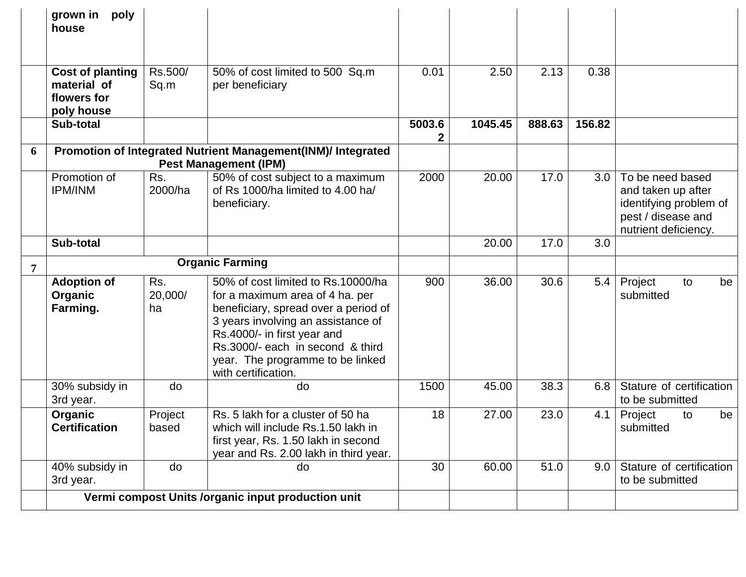|   | grown in<br>poly<br>house                                           |                      |                                                                                                                                                                                                                                                                                   |        |         |        |        |                                                                                                                |
|---|---------------------------------------------------------------------|----------------------|-----------------------------------------------------------------------------------------------------------------------------------------------------------------------------------------------------------------------------------------------------------------------------------|--------|---------|--------|--------|----------------------------------------------------------------------------------------------------------------|
|   | <b>Cost of planting</b><br>material of<br>flowers for<br>poly house | Rs.500/<br>Sq.m      | 50% of cost limited to 500 Sq.m<br>per beneficiary                                                                                                                                                                                                                                | 0.01   | 2.50    | 2.13   | 0.38   |                                                                                                                |
|   | Sub-total                                                           |                      |                                                                                                                                                                                                                                                                                   | 5003.6 | 1045.45 | 888.63 | 156.82 |                                                                                                                |
| 6 |                                                                     |                      | Promotion of Integrated Nutrient Management(INM)/ Integrated<br><b>Pest Management (IPM)</b>                                                                                                                                                                                      |        |         |        |        |                                                                                                                |
|   | Promotion of<br><b>IPM/INM</b>                                      | Rs.<br>2000/ha       | 50% of cost subject to a maximum<br>of Rs 1000/ha limited to 4.00 ha/<br>beneficiary.                                                                                                                                                                                             | 2000   | 20.00   | 17.0   | 3.0    | To be need based<br>and taken up after<br>identifying problem of<br>pest / disease and<br>nutrient deficiency. |
|   | Sub-total                                                           |                      |                                                                                                                                                                                                                                                                                   |        | 20.00   | 17.0   | 3.0    |                                                                                                                |
| 7 |                                                                     |                      | <b>Organic Farming</b>                                                                                                                                                                                                                                                            |        |         |        |        |                                                                                                                |
|   | <b>Adoption of</b><br>Organic<br>Farming.                           | Rs.<br>20,000/<br>ha | 50% of cost limited to Rs.10000/ha<br>for a maximum area of 4 ha. per<br>beneficiary, spread over a period of<br>3 years involving an assistance of<br>Rs.4000/- in first year and<br>Rs.3000/- each in second & third<br>year. The programme to be linked<br>with certification. | 900    | 36.00   | 30.6   | 5.4    | Project<br>to<br>be<br>submitted                                                                               |
|   | 30% subsidy in<br>3rd year.                                         | do                   | do                                                                                                                                                                                                                                                                                | 1500   | 45.00   | 38.3   | 6.8    | Stature of certification<br>to be submitted                                                                    |
|   | Organic<br><b>Certification</b>                                     | Project<br>based     | Rs. 5 lakh for a cluster of 50 ha<br>which will include Rs.1.50 lakh in<br>first year, Rs. 1.50 lakh in second<br>year and Rs. 2.00 lakh in third year.                                                                                                                           | 18     | 27.00   | 23.0   | 4.1    | Project<br>to<br>be<br>submitted                                                                               |
|   | 40% subsidy in<br>3rd year.                                         | do                   | do                                                                                                                                                                                                                                                                                | 30     | 60.00   | 51.0   | 9.0    | Stature of certification<br>to be submitted                                                                    |
|   |                                                                     |                      | Vermi compost Units /organic input production unit                                                                                                                                                                                                                                |        |         |        |        |                                                                                                                |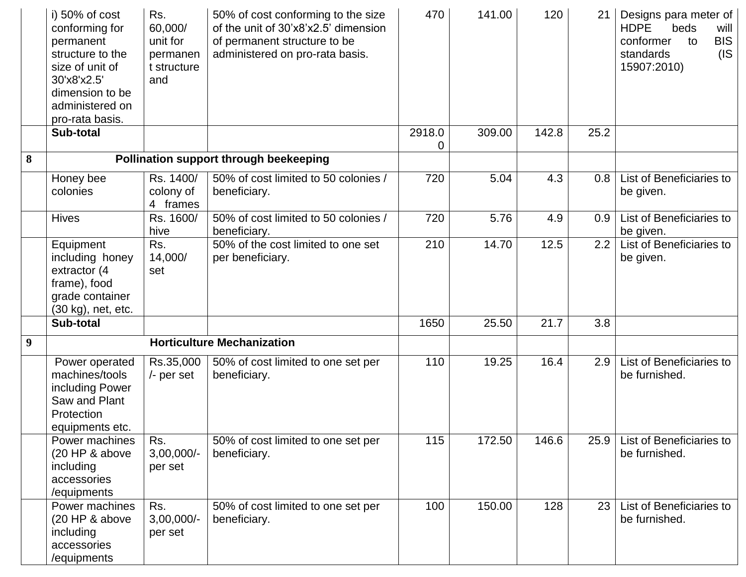|   | i) $50\%$ of cost<br>conforming for<br>permanent<br>structure to the<br>size of unit of<br>30'x8'x2.5'<br>dimension to be<br>administered on<br>pro-rata basis. | Rs.<br>60,000/<br>unit for<br>permanen<br>t structure<br>and | 50% of cost conforming to the size<br>of the unit of 30'x8'x2.5' dimension<br>of permanent structure to be<br>administered on pro-rata basis. | 470         | 141.00 | 120   | 21 <sup>2</sup> | Designs para meter of<br><b>HDPE</b><br>beds<br>will<br><b>BIS</b><br>conformer<br>to<br>$($ IS<br>standards<br>15907:2010) |
|---|-----------------------------------------------------------------------------------------------------------------------------------------------------------------|--------------------------------------------------------------|-----------------------------------------------------------------------------------------------------------------------------------------------|-------------|--------|-------|-----------------|-----------------------------------------------------------------------------------------------------------------------------|
|   | Sub-total                                                                                                                                                       |                                                              |                                                                                                                                               | 2918.0<br>0 | 309.00 | 142.8 | 25.2            |                                                                                                                             |
| 8 |                                                                                                                                                                 |                                                              | Pollination support through beekeeping                                                                                                        |             |        |       |                 |                                                                                                                             |
|   | Honey bee<br>colonies                                                                                                                                           | Rs. 1400/<br>colony of<br>4 frames                           | 50% of cost limited to 50 colonies /<br>beneficiary.                                                                                          | 720         | 5.04   | 4.3   | 0.8             | List of Beneficiaries to<br>be given.                                                                                       |
|   | <b>Hives</b>                                                                                                                                                    | Rs. 1600/<br>hive                                            | 50% of cost limited to 50 colonies /<br>beneficiary.                                                                                          | 720         | 5.76   | 4.9   | 0.9             | List of Beneficiaries to<br>be given.                                                                                       |
|   | Equipment<br>including honey<br>extractor (4<br>frame), food<br>grade container<br>(30 kg), net, etc.                                                           | Rs.<br>14,000/<br>set                                        | 50% of the cost limited to one set<br>per beneficiary.                                                                                        | 210         | 14.70  | 12.5  | 2.2             | List of Beneficiaries to<br>be given.                                                                                       |
|   | Sub-total                                                                                                                                                       |                                                              |                                                                                                                                               | 1650        | 25.50  | 21.7  | 3.8             |                                                                                                                             |
| 9 |                                                                                                                                                                 |                                                              | <b>Horticulture Mechanization</b>                                                                                                             |             |        |       |                 |                                                                                                                             |
|   | Power operated<br>machines/tools<br>including Power<br>Saw and Plant<br>Protection<br>equipments etc.                                                           | Rs.35,000<br>/- per set                                      | 50% of cost limited to one set per<br>beneficiary.                                                                                            | 110         | 19.25  | 16.4  | 2.9             | List of Beneficiaries to<br>be furnished.                                                                                   |
|   | Power machines<br>(20 HP & above<br>including<br>accessories<br>/equipments                                                                                     | Rs.<br>$3,00,000/$ -<br>per set                              | 50% of cost limited to one set per<br>beneficiary.                                                                                            | 115         | 172.50 | 146.6 | 25.9            | List of Beneficiaries to<br>be furnished.                                                                                   |
|   | Power machines<br>(20 HP & above<br>including<br>accessories<br>/equipments                                                                                     | Rs.<br>$3,00,000/-$<br>per set                               | 50% of cost limited to one set per<br>beneficiary.                                                                                            | 100         | 150.00 | 128   | 23 <sup>1</sup> | List of Beneficiaries to<br>be furnished.                                                                                   |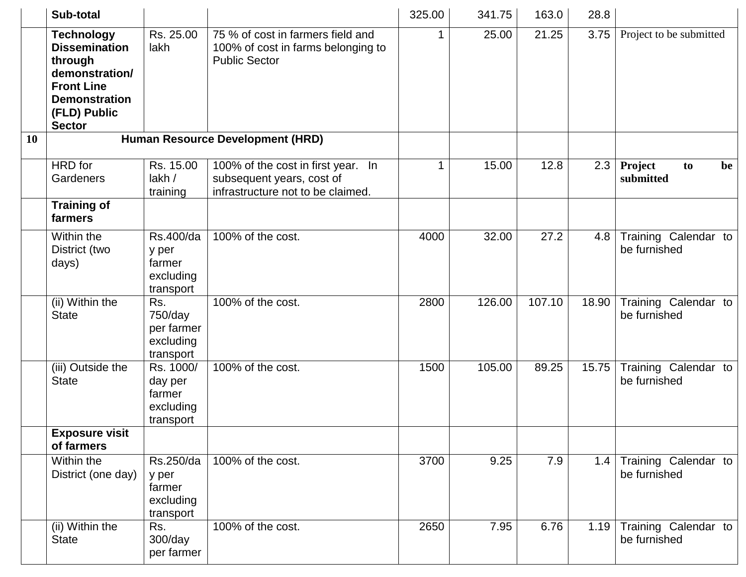|    | <b>Sub-total</b>                                                                                                                                     |                                                           |                                                                                                      | 325.00 | 341.75 | 163.0  | 28.8  |                                      |
|----|------------------------------------------------------------------------------------------------------------------------------------------------------|-----------------------------------------------------------|------------------------------------------------------------------------------------------------------|--------|--------|--------|-------|--------------------------------------|
|    | <b>Technology</b><br><b>Dissemination</b><br>through<br>demonstration/<br><b>Front Line</b><br><b>Demonstration</b><br>(FLD) Public<br><b>Sector</b> | Rs. 25.00<br>lakh                                         | 75 % of cost in farmers field and<br>100% of cost in farms belonging to<br><b>Public Sector</b>      |        | 25.00  | 21.25  | 3.75  | Project to be submitted              |
| 10 |                                                                                                                                                      |                                                           | <b>Human Resource Development (HRD)</b>                                                              |        |        |        |       |                                      |
|    | HRD for<br>Gardeners                                                                                                                                 | Rs. 15.00<br>lakh/<br>training                            | 100% of the cost in first year. In<br>subsequent years, cost of<br>infrastructure not to be claimed. |        | 15.00  | 12.8   | 2.3   | Project<br>be<br>to<br>submitted     |
|    | <b>Training of</b><br>farmers                                                                                                                        |                                                           |                                                                                                      |        |        |        |       |                                      |
|    | Within the<br>District (two<br>days)                                                                                                                 | Rs.400/da<br>y per<br>farmer<br>excluding<br>transport    | 100% of the cost.                                                                                    | 4000   | 32.00  | 27.2   | 4.8   | Training Calendar to<br>be furnished |
|    | (ii) Within the<br><b>State</b>                                                                                                                      | Rs.<br>$750$ /day<br>per farmer<br>excluding<br>transport | 100% of the cost.                                                                                    | 2800   | 126.00 | 107.10 | 18.90 | Training Calendar to<br>be furnished |
|    | (iii) Outside the<br><b>State</b>                                                                                                                    | Rs. 1000/<br>day per<br>farmer<br>excluding<br>transport  | 100% of the cost.                                                                                    | 1500   | 105.00 | 89.25  | 15.75 | Training Calendar to<br>be furnished |
|    | <b>Exposure visit</b><br>of farmers                                                                                                                  |                                                           |                                                                                                      |        |        |        |       |                                      |
|    | Within the<br>District (one day)                                                                                                                     | Rs.250/da<br>y per<br>farmer<br>excluding<br>transport    | 100% of the cost.                                                                                    | 3700   | 9.25   | 7.9    | 1.4   | Training Calendar to<br>be furnished |
|    | (ii) Within the<br><b>State</b>                                                                                                                      | Rs.<br>$300$ /day<br>per farmer                           | 100% of the cost.                                                                                    | 2650   | 7.95   | 6.76   | 1.19  | Training Calendar to<br>be furnished |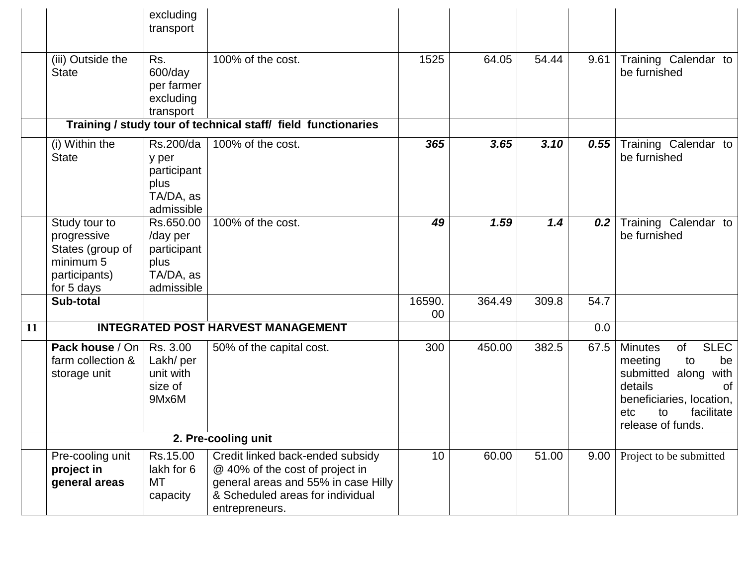|    |                                                                                              | excluding<br>transport                                                  |                                                                                                                                                                  |              |        |       |      |                                                                                                                                                                                        |
|----|----------------------------------------------------------------------------------------------|-------------------------------------------------------------------------|------------------------------------------------------------------------------------------------------------------------------------------------------------------|--------------|--------|-------|------|----------------------------------------------------------------------------------------------------------------------------------------------------------------------------------------|
|    | (iii) Outside the<br><b>State</b>                                                            | Rs.<br>$600$ /day<br>per farmer<br>excluding<br>transport               | 100% of the cost.                                                                                                                                                | 1525         | 64.05  | 54.44 | 9.61 | Training Calendar to<br>be furnished                                                                                                                                                   |
|    |                                                                                              |                                                                         | Training / study tour of technical staff/ field functionaries                                                                                                    |              |        |       |      |                                                                                                                                                                                        |
|    | (i) Within the<br><b>State</b>                                                               | Rs.200/da<br>y per<br>participant<br>plus<br>TA/DA, as<br>admissible    | 100% of the cost.                                                                                                                                                | 365          | 3.65   | 3.10  | 0.55 | Training Calendar to<br>be furnished                                                                                                                                                   |
|    | Study tour to<br>progressive<br>States (group of<br>minimum 5<br>participants)<br>for 5 days | Rs.650.00<br>/day per<br>participant<br>plus<br>TA/DA, as<br>admissible | 100% of the cost.                                                                                                                                                | 49           | 1.59   | 1.4   | 0.2  | Training Calendar to<br>be furnished                                                                                                                                                   |
|    | Sub-total                                                                                    |                                                                         |                                                                                                                                                                  | 16590.<br>00 | 364.49 | 309.8 | 54.7 |                                                                                                                                                                                        |
| 11 |                                                                                              |                                                                         | <b>INTEGRATED POST HARVEST MANAGEMENT</b>                                                                                                                        |              |        |       | 0.0  |                                                                                                                                                                                        |
|    | Pack house / On<br>farm collection &<br>storage unit                                         | Rs. 3.00<br>Lakh/per<br>unit with<br>size of<br>9Mx6M                   | 50% of the capital cost.                                                                                                                                         | 300          | 450.00 | 382.5 | 67.5 | <b>SLEC</b><br>of<br><b>Minutes</b><br>to<br>meeting<br>be<br>submitted along with<br>details<br><b>of</b><br>beneficiaries, location,<br>facilitate<br>to<br>etc<br>release of funds. |
|    |                                                                                              |                                                                         | 2. Pre-cooling unit                                                                                                                                              |              |        |       |      |                                                                                                                                                                                        |
|    | Pre-cooling unit<br>project in<br>general areas                                              | Rs.15.00<br>lakh for 6<br><b>MT</b><br>capacity                         | Credit linked back-ended subsidy<br>@ 40% of the cost of project in<br>general areas and 55% in case Hilly<br>& Scheduled areas for individual<br>entrepreneurs. | 10           | 60.00  | 51.00 | 9.00 | Project to be submitted                                                                                                                                                                |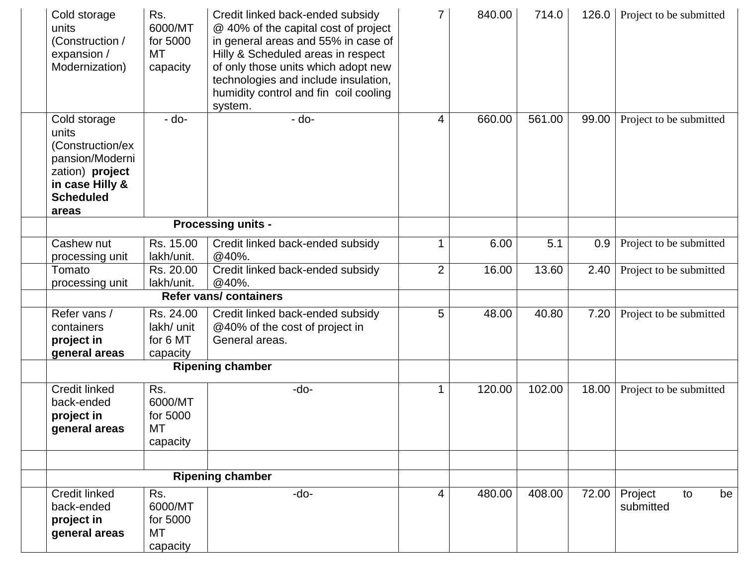| Cold storage<br>units<br>(Construction /<br>expansion /<br>Modernization)                                                       | Rs.<br>6000/MT<br>for 5000<br><b>MT</b><br>capacity | Credit linked back-ended subsidy<br>@ 40% of the capital cost of project<br>in general areas and 55% in case of<br>Hilly & Scheduled areas in respect<br>of only those units which adopt new<br>technologies and include insulation,<br>humidity control and fin coil cooling<br>system. | $\overline{7}$ | 840.00 | 714.0  | 126.0 | Project to be submitted          |
|---------------------------------------------------------------------------------------------------------------------------------|-----------------------------------------------------|------------------------------------------------------------------------------------------------------------------------------------------------------------------------------------------------------------------------------------------------------------------------------------------|----------------|--------|--------|-------|----------------------------------|
| Cold storage<br>units<br>(Construction/ex<br>pansion/Moderni<br>zation) project<br>in case Hilly &<br><b>Scheduled</b><br>areas | $-do-$                                              | $-do-$                                                                                                                                                                                                                                                                                   | 4              | 660.00 | 561.00 | 99.00 | Project to be submitted          |
|                                                                                                                                 |                                                     | <b>Processing units -</b>                                                                                                                                                                                                                                                                |                |        |        |       |                                  |
| Cashew nut<br>processing unit                                                                                                   | Rs. 15.00<br>lakh/unit.                             | Credit linked back-ended subsidy<br>@40%.                                                                                                                                                                                                                                                |                | 6.00   | 5.1    | 0.9   | Project to be submitted          |
| Tomato<br>processing unit                                                                                                       | Rs. 20.00<br>lakh/unit.                             | Credit linked back-ended subsidy<br>@40%.                                                                                                                                                                                                                                                | $\overline{2}$ | 16.00  | 13.60  | 2.40  | Project to be submitted          |
|                                                                                                                                 |                                                     | <b>Refer vans/ containers</b>                                                                                                                                                                                                                                                            |                |        |        |       |                                  |
| Refer vans /<br>containers<br>project in<br>general areas                                                                       | Rs. 24.00<br>lakh/ unit<br>for 6 MT<br>capacity     | Credit linked back-ended subsidy<br>@40% of the cost of project in<br>General areas.                                                                                                                                                                                                     | 5              | 48.00  | 40.80  | 7.20  | Project to be submitted          |
|                                                                                                                                 |                                                     | <b>Ripening chamber</b>                                                                                                                                                                                                                                                                  |                |        |        |       |                                  |
| <b>Credit linked</b><br>back-ended<br>project in<br>general areas                                                               | Rs.<br>6000/MT<br>for 5000<br>MT<br>capacity        | -do-                                                                                                                                                                                                                                                                                     |                | 120.00 | 102.00 | 18.00 | Project to be submitted          |
|                                                                                                                                 |                                                     |                                                                                                                                                                                                                                                                                          |                |        |        |       |                                  |
|                                                                                                                                 |                                                     | <b>Ripening chamber</b>                                                                                                                                                                                                                                                                  |                |        |        |       |                                  |
| <b>Credit linked</b><br>back-ended<br>project in<br>general areas                                                               | Rs.<br>6000/MT<br>for 5000<br>MT<br>capacity        | -do-                                                                                                                                                                                                                                                                                     | $\overline{4}$ | 480.00 | 408.00 | 72.00 | Project<br>be<br>to<br>submitted |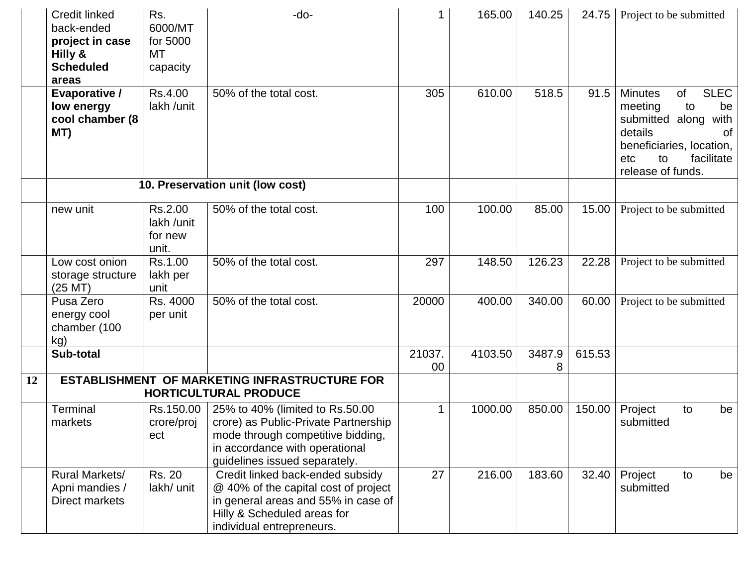|    | <b>Credit linked</b><br>back-ended<br>project in case<br>Hilly &<br><b>Scheduled</b><br>areas | Rs.<br>6000/MT<br>for 5000<br>MT<br>capacity | -do-                                                                                                                                                                            |              | 165.00  | 140.25 |        | 24.75   Project to be submitted                                                                                                                                                           |
|----|-----------------------------------------------------------------------------------------------|----------------------------------------------|---------------------------------------------------------------------------------------------------------------------------------------------------------------------------------|--------------|---------|--------|--------|-------------------------------------------------------------------------------------------------------------------------------------------------------------------------------------------|
|    | Evaporative /<br>low energy<br>cool chamber (8<br>MT)                                         | Rs.4.00<br>lakh /unit                        | 50% of the total cost.                                                                                                                                                          | 305          | 610.00  | 518.5  | 91.5   | <b>SLEC</b><br><b>Minutes</b><br><b>of</b><br>meeting<br>to<br>be<br>submitted along<br>with<br>details<br>Ωt<br>beneficiaries, location,<br>to<br>facilitate<br>etc<br>release of funds. |
|    |                                                                                               | 10. Preservation unit (low cost)             |                                                                                                                                                                                 |              |         |        |        |                                                                                                                                                                                           |
|    | new unit                                                                                      | Rs.2.00<br>lakh /unit<br>for new<br>unit.    | 50% of the total cost.                                                                                                                                                          | 100          | 100.00  | 85.00  | 15.00  | Project to be submitted                                                                                                                                                                   |
|    | Low cost onion<br>storage structure<br>$(25$ MT $)$                                           | Rs.1.00<br>lakh per<br>unit                  | 50% of the total cost.                                                                                                                                                          | 297          | 148.50  | 126.23 | 22.28  | Project to be submitted                                                                                                                                                                   |
|    | Pusa Zero<br>energy cool<br>chamber (100<br>kg)                                               | Rs. 4000<br>per unit                         | 50% of the total cost.                                                                                                                                                          | 20000        | 400.00  | 340.00 | 60.00  | Project to be submitted                                                                                                                                                                   |
|    | Sub-total                                                                                     |                                              |                                                                                                                                                                                 | 21037.<br>00 | 4103.50 | 3487.9 | 615.53 |                                                                                                                                                                                           |
| 12 |                                                                                               |                                              | <b>ESTABLISHMENT OF MARKETING INFRASTRUCTURE FOR</b><br><b>HORTICULTURAL PRODUCE</b>                                                                                            |              |         |        |        |                                                                                                                                                                                           |
|    | Terminal<br>markets                                                                           | Rs.150.00<br>crore/proj<br>ect               | 25% to 40% (limited to Rs.50.00<br>crore) as Public-Private Partnership<br>mode through competitive bidding,<br>in accordance with operational<br>guidelines issued separately. |              | 1000.00 | 850.00 | 150.00 | Project<br>be<br>to<br>submitted                                                                                                                                                          |
|    | Rural Markets/<br>Apni mandies /<br>Direct markets                                            | <b>Rs. 20</b><br>lakh/ unit                  | Credit linked back-ended subsidy<br>@ 40% of the capital cost of project<br>in general areas and 55% in case of<br>Hilly & Scheduled areas for<br>individual entrepreneurs.     | 27           | 216.00  | 183.60 | 32.40  | Project<br>be<br>to<br>submitted                                                                                                                                                          |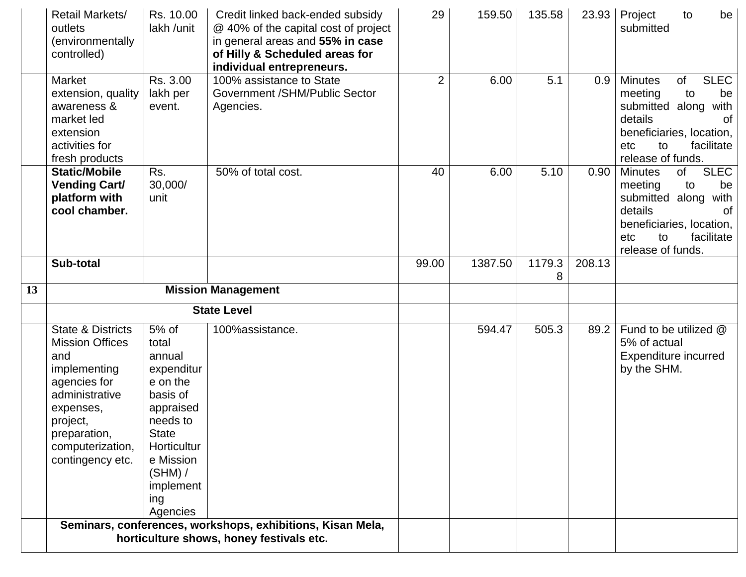|    | Retail Markets/<br>outlets<br>(environmentally<br>controlled)                                                                            | Rs. 10.00<br>lakh /unit                                                                 | Credit linked back-ended subsidy<br>@ 40% of the capital cost of project<br>in general areas and 55% in case<br>of Hilly & Scheduled areas for<br>individual entrepreneurs. | 29             | 159.50  | 135.58      | 23.93  | Project<br>to<br>be<br>submitted                                                                                                                                                          |
|----|------------------------------------------------------------------------------------------------------------------------------------------|-----------------------------------------------------------------------------------------|-----------------------------------------------------------------------------------------------------------------------------------------------------------------------------|----------------|---------|-------------|--------|-------------------------------------------------------------------------------------------------------------------------------------------------------------------------------------------|
|    | Market<br>extension, quality<br>awareness &<br>market led<br>extension<br>activities for<br>fresh products                               | Rs. 3.00<br>lakh per<br>event.                                                          | 100% assistance to State<br>Government /SHM/Public Sector<br>Agencies.                                                                                                      | $\overline{2}$ | 6.00    | 5.1         | 0.9    | <b>SLEC</b><br><b>Minutes</b><br>of<br>meeting<br>to<br>be<br>submitted along<br>with<br>details<br><b>of</b><br>beneficiaries, location,<br>etc<br>to<br>facilitate<br>release of funds. |
|    | <b>Static/Mobile</b><br><b>Vending Cart/</b><br>platform with<br>cool chamber.                                                           | Rs.<br>30,000/<br>unit                                                                  | 50% of total cost.                                                                                                                                                          | 40             | 6.00    | 5.10        | 0.90   | <b>SLEC</b><br><b>Minutes</b><br>of<br>meeting<br>to<br>be<br>with<br>submitted along<br>details<br><b>of</b><br>beneficiaries, location,<br>facilitate<br>to<br>etc<br>release of funds. |
|    | Sub-total                                                                                                                                |                                                                                         |                                                                                                                                                                             | 99.00          | 1387.50 | 1179.3<br>8 | 208.13 |                                                                                                                                                                                           |
| 13 |                                                                                                                                          |                                                                                         | <b>Mission Management</b>                                                                                                                                                   |                |         |             |        |                                                                                                                                                                                           |
|    | <b>State Level</b>                                                                                                                       |                                                                                         |                                                                                                                                                                             |                |         |             |        |                                                                                                                                                                                           |
|    | <b>State &amp; Districts</b><br><b>Mission Offices</b><br>and<br>implementing<br>agencies for<br>administrative<br>expenses,<br>project, | 5% of<br>total<br>annual<br>expenditur<br>e on the<br>basis of<br>appraised<br>needs to | 100%assistance.                                                                                                                                                             |                | 594.47  | 505.3       | 89.2   | Fund to be utilized @<br>5% of actual<br>Expenditure incurred<br>by the SHM.                                                                                                              |
|    | preparation,<br>computerization,<br>contingency etc.                                                                                     | State<br>Horticultur<br>e Mission<br>$(SHM)$ /<br>implement<br>ing<br>Agencies          | Seminars, conferences, workshops, exhibitions, Kisan Mela,                                                                                                                  |                |         |             |        |                                                                                                                                                                                           |